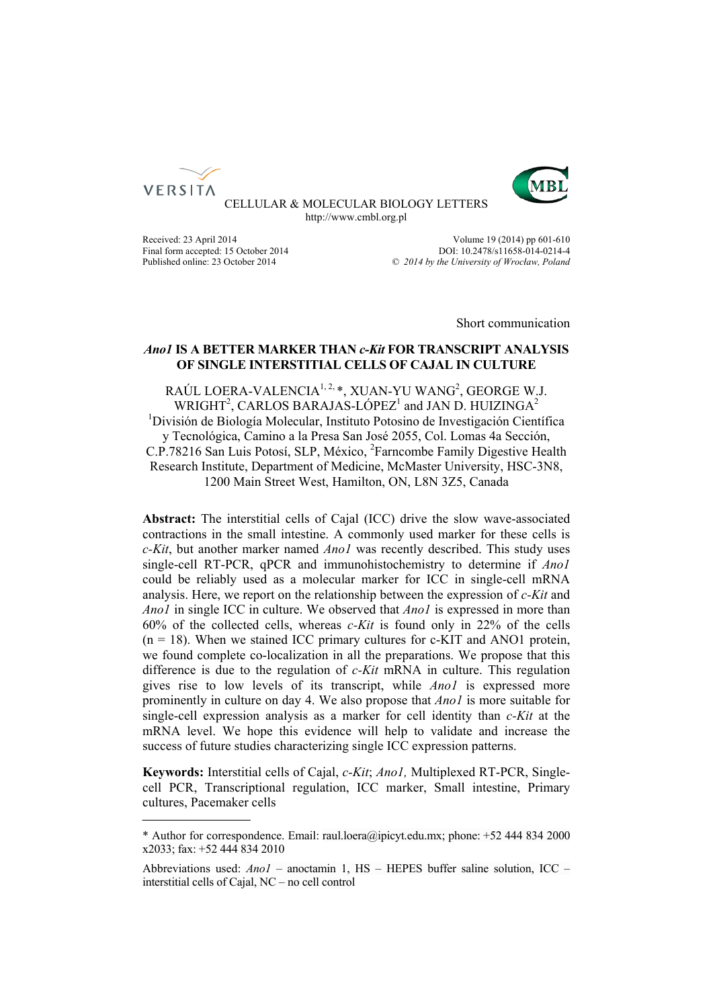



CELLULAR & MOLECULAR BIOLOGY LETTERS http://www.cmbl.org.pl

Received: 23 April 2014 Volume 19 (2014) pp 601-610 Final form accepted: 15 October 2014<br>
Published online: 23 October 2014<br>  $\degree$  2014 by the University of Wroclaw. Poland Published online: 23 October 2014 *© 2014 by the University of Wrocław, Poland*

Short communication

# *Ano1* **IS A BETTER MARKER THAN** *c-Kit* **FOR TRANSCRIPT ANALYSIS OF SINGLE INTERSTITIAL CELLS OF CAJAL IN CULTURE**

RAÚL LOERA-VALENCIA $^{1,2,4}$ , XUAN-YU WANG $^{2}$ , GEORGE W.J. WRIGHT<sup>2</sup>, CARLOS BARAJAS-LÓPEZ<sup>1</sup> and JAN D. HUIZINGA<sup>2</sup> <sup>1</sup>División de Biología Molecular, Instituto Potosino de Investigación Científica y Tecnológica, Camino a la Presa San José 2055, Col. Lomas 4a Sección, C.P.78216 San Luis Potosí, SLP, México, <sup>2</sup>Farncombe Family Digestive Health Research Institute, Department of Medicine, McMaster University, HSC-3N8, 1200 Main Street West, Hamilton, ON, L8N 3Z5, Canada

**Abstract:** The interstitial cells of Cajal (ICC) drive the slow wave-associated contractions in the small intestine. A commonly used marker for these cells is *c-Kit*, but another marker named *Ano1* was recently described. This study uses single-cell RT-PCR, qPCR and immunohistochemistry to determine if *Ano1* could be reliably used as a molecular marker for ICC in single-cell mRNA analysis. Here, we report on the relationship between the expression of *c-Kit* and *Ano1* in single ICC in culture. We observed that *Ano1* is expressed in more than 60% of the collected cells, whereas *c-Kit* is found only in 22% of the cells  $(n = 18)$ . When we stained ICC primary cultures for c-KIT and ANO1 protein, we found complete co-localization in all the preparations. We propose that this difference is due to the regulation of *c-Kit* mRNA in culture. This regulation gives rise to low levels of its transcript, while *Ano1* is expressed more prominently in culture on day 4. We also propose that *Ano1* is more suitable for single-cell expression analysis as a marker for cell identity than *c-Kit* at the mRNA level. We hope this evidence will help to validate and increase the success of future studies characterizing single ICC expression patterns.

**Keywords:** Interstitial cells of Cajal, *c-Kit*; *Ano1,* Multiplexed RT-PCR, Singlecell PCR, Transcriptional regulation, ICC marker, Small intestine, Primary cultures, Pacemaker cells

<sup>\*</sup> Author for correspondence. Email: raul.loera@ipicyt.edu.mx; phone: +52 444 834 2000 x2033; fax: +52 444 834 2010

Abbreviations used: *Ano1* – anoctamin 1, HS – HEPES buffer saline solution, ICC – interstitial cells of Cajal, NC – no cell control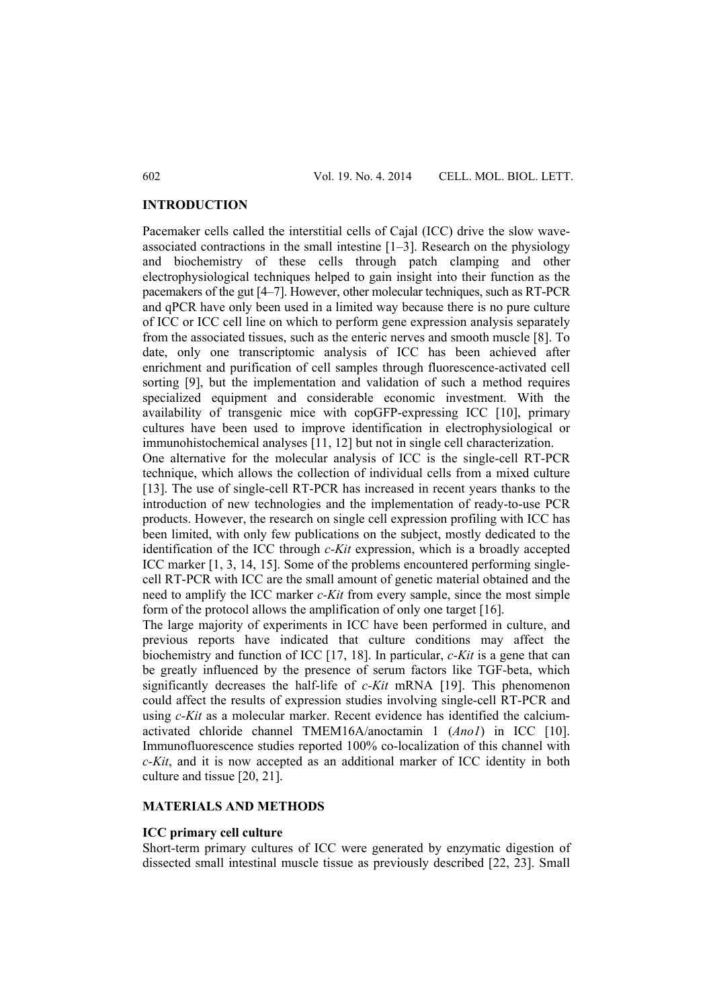## **INTRODUCTION**

Pacemaker cells called the interstitial cells of Cajal (ICC) drive the slow waveassociated contractions in the small intestine [1–3]. Research on the physiology and biochemistry of these cells through patch clamping and other electrophysiological techniques helped to gain insight into their function as the pacemakers of the gut [4–7]. However, other molecular techniques, such as RT-PCR and qPCR have only been used in a limited way because there is no pure culture of ICC or ICC cell line on which to perform gene expression analysis separately from the associated tissues, such as the enteric nerves and smooth muscle [8]. To date, only one transcriptomic analysis of ICC has been achieved after enrichment and purification of cell samples through fluorescence-activated cell sorting [9], but the implementation and validation of such a method requires specialized equipment and considerable economic investment. With the availability of transgenic mice with copGFP-expressing ICC [10], primary cultures have been used to improve identification in electrophysiological or immunohistochemical analyses [11, 12] but not in single cell characterization. One alternative for the molecular analysis of ICC is the single-cell RT-PCR technique, which allows the collection of individual cells from a mixed culture [13]. The use of single-cell RT-PCR has increased in recent years thanks to the introduction of new technologies and the implementation of ready-to-use PCR products. However, the research on single cell expression profiling with ICC has been limited, with only few publications on the subject, mostly dedicated to the

identification of the ICC through *c-Kit* expression, which is a broadly accepted ICC marker [1, 3, 14, 15]. Some of the problems encountered performing singlecell RT-PCR with ICC are the small amount of genetic material obtained and the need to amplify the ICC marker *c-Kit* from every sample, since the most simple form of the protocol allows the amplification of only one target [16].

The large majority of experiments in ICC have been performed in culture, and previous reports have indicated that culture conditions may affect the biochemistry and function of ICC [17, 18]. In particular, *c-Kit* is a gene that can be greatly influenced by the presence of serum factors like TGF-beta, which significantly decreases the half-life of *c-Kit* mRNA [19]. This phenomenon could affect the results of expression studies involving single-cell RT-PCR and using *c-Kit* as a molecular marker. Recent evidence has identified the calciumactivated chloride channel TMEM16A/anoctamin 1 (*Ano1*) in ICC [10]. Immunofluorescence studies reported 100% co-localization of this channel with *c-Kit*, and it is now accepted as an additional marker of ICC identity in both culture and tissue [20, 21].

# **MATERIALS AND METHODS**

## **ICC primary cell culture**

Short-term primary cultures of ICC were generated by enzymatic digestion of dissected small intestinal muscle tissue as previously described [22, 23]. Small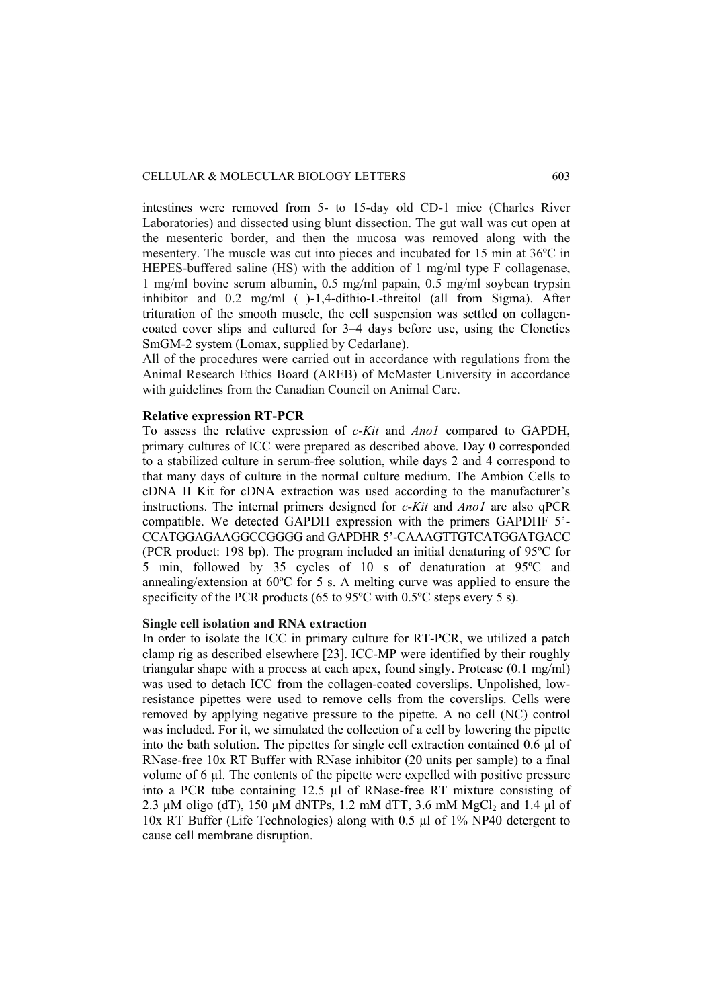intestines were removed from 5- to 15-day old CD-1 mice (Charles River Laboratories) and dissected using blunt dissection. The gut wall was cut open at the mesenteric border, and then the mucosa was removed along with the mesentery. The muscle was cut into pieces and incubated for 15 min at 36ºC in HEPES-buffered saline (HS) with the addition of 1 mg/ml type F collagenase, 1 mg/ml bovine serum albumin, 0.5 mg/ml papain, 0.5 mg/ml soybean trypsin inhibitor and 0.2 mg/ml (−)-1,4-dithio-L-threitol (all from Sigma). After trituration of the smooth muscle, the cell suspension was settled on collagencoated cover slips and cultured for 3–4 days before use, using the Clonetics SmGM-2 system (Lomax, supplied by Cedarlane).

All of the procedures were carried out in accordance with regulations from the Animal Research Ethics Board (AREB) of McMaster University in accordance with guidelines from the Canadian Council on Animal Care.

# **Relative expression RT-PCR**

To assess the relative expression of *c-Kit* and *Ano1* compared to GAPDH, primary cultures of ICC were prepared as described above. Day 0 corresponded to a stabilized culture in serum-free solution, while days 2 and 4 correspond to that many days of culture in the normal culture medium. The Ambion Cells to cDNA II Kit for cDNA extraction was used according to the manufacturer's instructions. The internal primers designed for *c-Kit* and *Ano1* are also qPCR compatible. We detected GAPDH expression with the primers GAPDHF 5'- CCATGGAGAAGGCCGGGG and GAPDHR 5'-CAAAGTTGTCATGGATGACC (PCR product: 198 bp). The program included an initial denaturing of 95ºC for 5 min, followed by 35 cycles of 10 s of denaturation at 95ºC and annealing/extension at 60ºC for 5 s. A melting curve was applied to ensure the specificity of the PCR products (65 to 95 $^{\circ}$ C with 0.5 $^{\circ}$ C steps every 5 s).

# **Single cell isolation and RNA extraction**

In order to isolate the ICC in primary culture for RT-PCR, we utilized a patch clamp rig as described elsewhere [23]. ICC-MP were identified by their roughly triangular shape with a process at each apex, found singly. Protease (0.1 mg/ml) was used to detach ICC from the collagen-coated coverslips. Unpolished, lowresistance pipettes were used to remove cells from the coverslips. Cells were removed by applying negative pressure to the pipette. A no cell (NC) control was included. For it, we simulated the collection of a cell by lowering the pipette into the bath solution. The pipettes for single cell extraction contained 0.6 µl of RNase-free 10x RT Buffer with RNase inhibitor (20 units per sample) to a final volume of 6 µl. The contents of the pipette were expelled with positive pressure into a PCR tube containing 12.5 µl of RNase-free RT mixture consisting of 2.3  $\mu$ M oligo (dT), 150  $\mu$ M dNTPs, 1.2 mM dTT, 3.6 mM MgCl<sub>2</sub> and 1.4  $\mu$ l of 10x RT Buffer (Life Technologies) along with 0.5 µl of 1% NP40 detergent to cause cell membrane disruption.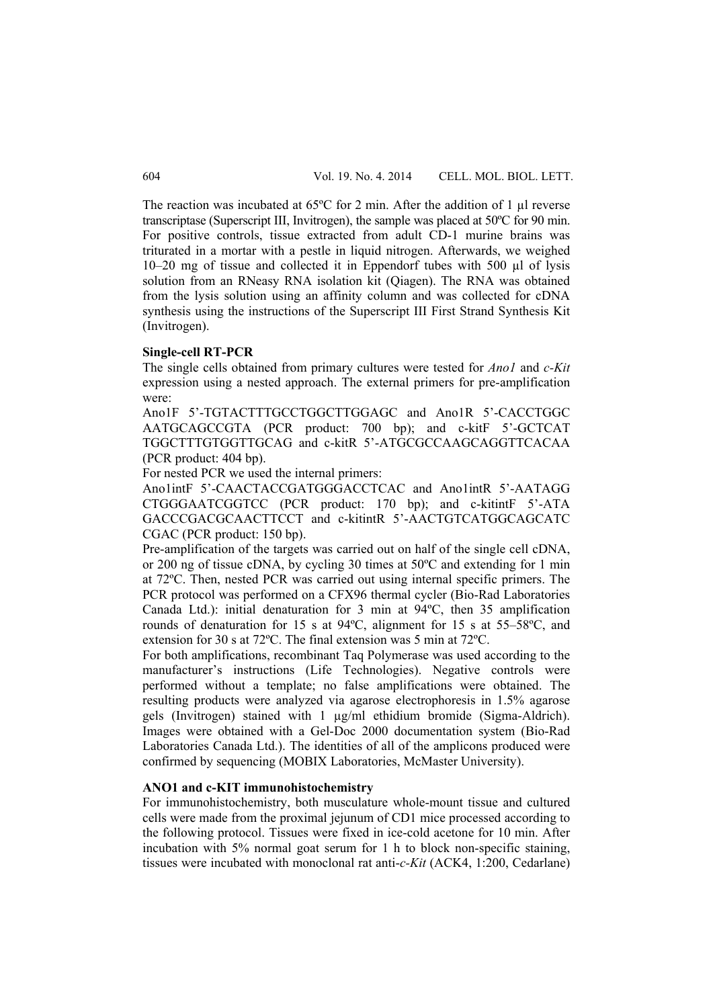The reaction was incubated at  $65^{\circ}$ C for 2 min. After the addition of 1 ul reverse transcriptase (Superscript III, Invitrogen), the sample was placed at 50ºC for 90 min. For positive controls, tissue extracted from adult CD-1 murine brains was triturated in a mortar with a pestle in liquid nitrogen. Afterwards, we weighed 10–20 mg of tissue and collected it in Eppendorf tubes with 500 µl of lysis solution from an RNeasy RNA isolation kit (Qiagen). The RNA was obtained from the lysis solution using an affinity column and was collected for cDNA synthesis using the instructions of the Superscript III First Strand Synthesis Kit (Invitrogen).

#### **Single-cell RT-PCR**

The single cells obtained from primary cultures were tested for *Ano1* and *c-Kit* expression using a nested approach. The external primers for pre-amplification were:

Ano1F 5'-TGTACTTTGCCTGGCTTGGAGC and Ano1R 5'-CACCTGGC AATGCAGCCGTA (PCR product: 700 bp); and c-kitF 5'-GCTCAT TGGCTTTGTGGTTGCAG and c-kitR 5'-ATGCGCCAAGCAGGTTCACAA (PCR product: 404 bp).

For nested PCR we used the internal primers:

Ano1intF 5'-CAACTACCGATGGGACCTCAC and Ano1intR 5'-AATAGG CTGGGAATCGGTCC (PCR product: 170 bp); and c-kitintF 5'-ATA GACCCGACGCAACTTCCT and c-kitintR 5'-AACTGTCATGGCAGCATC CGAC (PCR product: 150 bp).

Pre-amplification of the targets was carried out on half of the single cell cDNA, or 200 ng of tissue cDNA, by cycling 30 times at 50ºC and extending for 1 min at 72ºC. Then, nested PCR was carried out using internal specific primers. The PCR protocol was performed on a CFX96 thermal cycler (Bio-Rad Laboratories Canada Ltd.): initial denaturation for 3 min at 94ºC, then 35 amplification rounds of denaturation for 15 s at 94ºC, alignment for 15 s at 55–58ºC, and extension for 30 s at 72ºC. The final extension was 5 min at 72ºC.

For both amplifications, recombinant Taq Polymerase was used according to the manufacturer's instructions (Life Technologies). Negative controls were performed without a template; no false amplifications were obtained. The resulting products were analyzed via agarose electrophoresis in 1.5% agarose gels (Invitrogen) stained with 1 µg/ml ethidium bromide (Sigma-Aldrich). Images were obtained with a Gel-Doc 2000 documentation system (Bio-Rad Laboratories Canada Ltd.). The identities of all of the amplicons produced were confirmed by sequencing (MOBIX Laboratories, McMaster University).

#### **ANO1 and c-KIT immunohistochemistry**

For immunohistochemistry, both musculature whole-mount tissue and cultured cells were made from the proximal jejunum of CD1 mice processed according to the following protocol. Tissues were fixed in ice-cold acetone for 10 min. After incubation with 5% normal goat serum for 1 h to block non-specific staining, tissues were incubated with monoclonal rat anti-*c-Kit* (ACK4, 1:200, Cedarlane)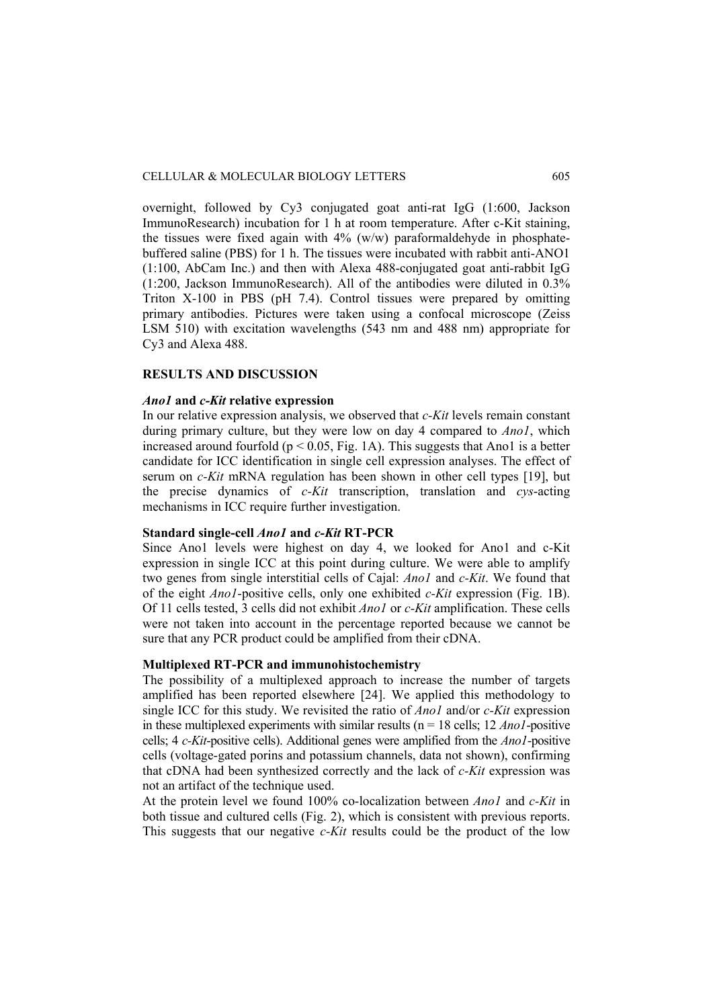overnight, followed by Cy3 conjugated goat anti-rat IgG (1:600, Jackson ImmunoResearch) incubation for 1 h at room temperature. After c-Kit staining, the tissues were fixed again with  $4\%$  (w/w) paraformaldehyde in phosphatebuffered saline (PBS) for 1 h. The tissues were incubated with rabbit anti-ANO1 (1:100, AbCam Inc.) and then with Alexa 488-conjugated goat anti-rabbit IgG (1:200, Jackson ImmunoResearch). All of the antibodies were diluted in 0.3% Triton X-100 in PBS (pH 7.4). Control tissues were prepared by omitting primary antibodies. Pictures were taken using a confocal microscope (Zeiss LSM 510) with excitation wavelengths (543 nm and 488 nm) appropriate for Cy3 and Alexa 488.

# **RESULTS AND DISCUSSION**

## *Ano1* **and** *c-Kit* **relative expression**

In our relative expression analysis, we observed that *c-Kit* levels remain constant during primary culture, but they were low on day 4 compared to *Ano1*, which increased around fourfold ( $p < 0.05$ , Fig. 1A). This suggests that Ano1 is a better candidate for ICC identification in single cell expression analyses. The effect of serum on *c-Kit* mRNA regulation has been shown in other cell types [19], but the precise dynamics of *c-Kit* transcription, translation and *cys*-acting mechanisms in ICC require further investigation.

# **Standard single-cell** *Ano1* **and** *c-Kit* **RT-PCR**

Since Ano1 levels were highest on day 4, we looked for Ano1 and c-Kit expression in single ICC at this point during culture. We were able to amplify two genes from single interstitial cells of Cajal: *Ano1* and *c-Kit*. We found that of the eight *Ano1*-positive cells, only one exhibited *c-Kit* expression (Fig. 1B). Of 11 cells tested, 3 cells did not exhibit *Ano1* or *c-Kit* amplification. These cells were not taken into account in the percentage reported because we cannot be sure that any PCR product could be amplified from their cDNA.

## **Multiplexed RT-PCR and immunohistochemistry**

The possibility of a multiplexed approach to increase the number of targets amplified has been reported elsewhere [24]. We applied this methodology to single ICC for this study. We revisited the ratio of *Ano1* and/or *c-Kit* expression in these multiplexed experiments with similar results ( $n = 18$  cells;  $12$  *Ano1*-positive cells; 4 *c-Kit*-positive cells). Additional genes were amplified from the *Ano1*-positive cells (voltage-gated porins and potassium channels, data not shown), confirming that cDNA had been synthesized correctly and the lack of *c-Kit* expression was not an artifact of the technique used.

At the protein level we found 100% co-localization between *Ano1* and *c-Kit* in both tissue and cultured cells (Fig. 2), which is consistent with previous reports. This suggests that our negative *c-Kit* results could be the product of the low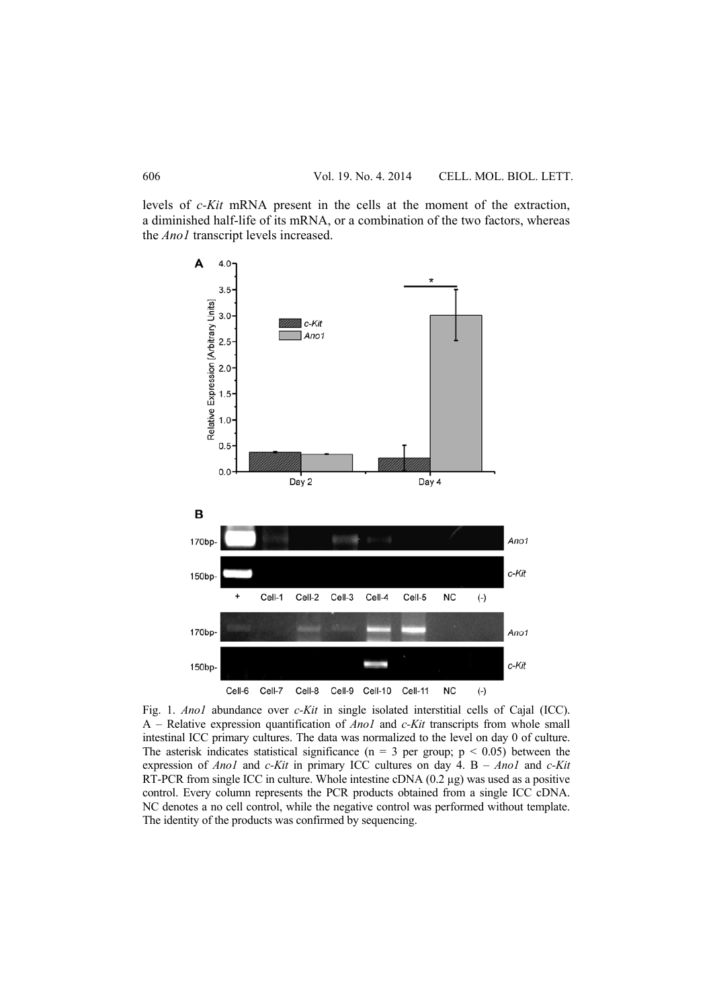levels of *c-Kit* mRNA present in the cells at the moment of the extraction, a diminished half-life of its mRNA, or a combination of the two factors, whereas the *Ano1* transcript levels increased.



Fig. 1. *Ano1* abundance over *c-Kit* in single isolated interstitial cells of Cajal (ICC). A – Relative expression quantification of *Ano1* and *c-Kit* transcripts from whole small intestinal ICC primary cultures. The data was normalized to the level on day 0 of culture. The asterisk indicates statistical significance ( $n = 3$  per group;  $p \le 0.05$ ) between the expression of *Ano1* and *c-Kit* in primary ICC cultures on day 4. B – *Ano1* and *c-Kit*  RT-PCR from single ICC in culture. Whole intestine cDNA  $(0.2 \mu g)$  was used as a positive control. Every column represents the PCR products obtained from a single ICC cDNA. NC denotes a no cell control, while the negative control was performed without template. The identity of the products was confirmed by sequencing.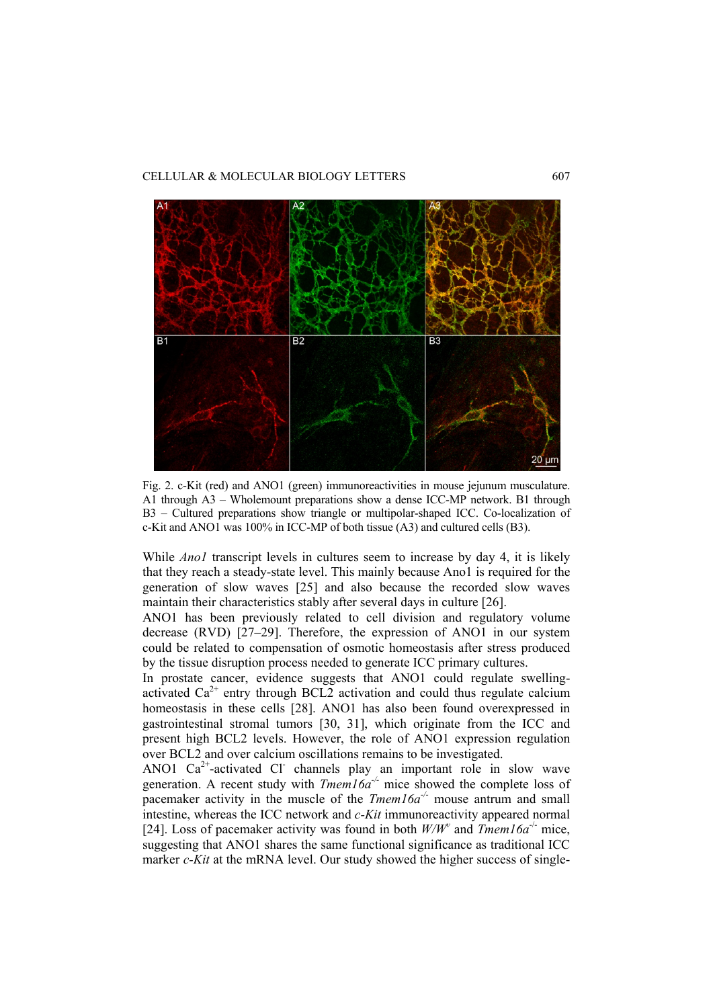## CELLULAR & MOLECULAR BIOLOGY LETTERS 607



Fig. 2. c-Kit (red) and ANO1 (green) immunoreactivities in mouse jejunum musculature. A1 through A3 – Wholemount preparations show a dense ICC-MP network. B1 through B3 – Cultured preparations show triangle or multipolar-shaped ICC. Co-localization of c-Kit and ANO1 was 100% in ICC-MP of both tissue (A3) and cultured cells (B3).

While *Anol* transcript levels in cultures seem to increase by day 4, it is likely that they reach a steady-state level. This mainly because Ano1 is required for the generation of slow waves [25] and also because the recorded slow waves maintain their characteristics stably after several days in culture [26].

ANO1 has been previously related to cell division and regulatory volume decrease (RVD) [27–29]. Therefore, the expression of ANO1 in our system could be related to compensation of osmotic homeostasis after stress produced by the tissue disruption process needed to generate ICC primary cultures.

In prostate cancer, evidence suggests that ANO1 could regulate swellingactivated  $Ca^{2+}$  entry through BCL2 activation and could thus regulate calcium homeostasis in these cells [28]. ANO1 has also been found overexpressed in gastrointestinal stromal tumors [30, 31], which originate from the ICC and present high BCL2 levels. However, the role of ANO1 expression regulation over BCL2 and over calcium oscillations remains to be investigated.

ANO1  $Ca^{2+}$ -activated Cl channels play an important role in slow wave generation. A recent study with  $Tmem16a<sup>-/-</sup>$  mice showed the complete loss of pacemaker activity in the muscle of the *Tmem16a<sup>-/-</sup>* mouse antrum and small intestine, whereas the ICC network and *c-Kit* immunoreactivity appeared normal [24]. Loss of pacemaker activity was found in both  $W/W^{\nu}$  and  $Tmem16a^{-1}$  mice, suggesting that ANO1 shares the same functional significance as traditional ICC marker *c-Kit* at the mRNA level. Our study showed the higher success of single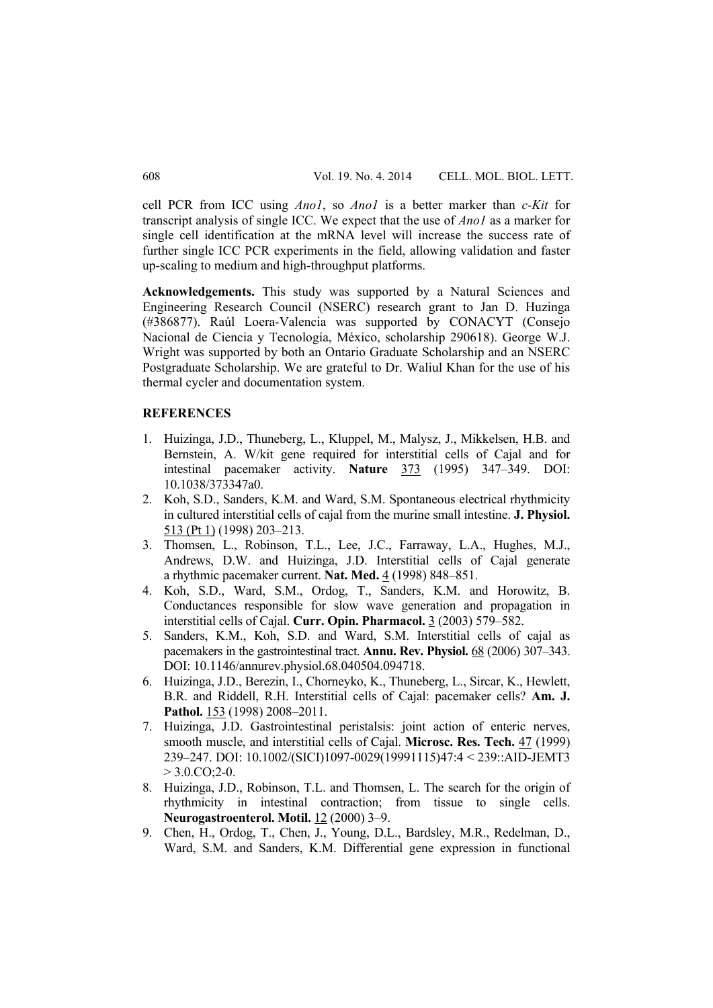cell PCR from ICC using *Ano1*, so *Ano1* is a better marker than *c-Kit* for transcript analysis of single ICC. We expect that the use of *Ano1* as a marker for single cell identification at the mRNA level will increase the success rate of further single ICC PCR experiments in the field, allowing validation and faster up-scaling to medium and high-throughput platforms.

**Acknowledgements.** This study was supported by a Natural Sciences and Engineering Research Council (NSERC) research grant to Jan D. Huzinga (#386877). Raúl Loera-Valencia was supported by CONACYT (Consejo Nacional de Ciencia y Tecnología, México, scholarship 290618). George W.J. Wright was supported by both an Ontario Graduate Scholarship and an NSERC Postgraduate Scholarship. We are grateful to Dr. Waliul Khan for the use of his thermal cycler and documentation system.

#### **REFERENCES**

- 1. Huizinga, J.D., Thuneberg, L., Kluppel, M., Malysz, J., Mikkelsen, H.B. and Bernstein, A. W/kit gene required for interstitial cells of Cajal and for intestinal pacemaker activity. **Nature** 373 (1995) 347–349. DOI: 10.1038/373347a0.
- 2. Koh, S.D., Sanders, K.M. and Ward, S.M. Spontaneous electrical rhythmicity in cultured interstitial cells of cajal from the murine small intestine. **J. Physiol.**  513 (Pt 1) (1998) 203–213.
- 3. Thomsen, L., Robinson, T.L., Lee, J.C., Farraway, L.A., Hughes, M.J., Andrews, D.W. and Huizinga, J.D. Interstitial cells of Cajal generate a rhythmic pacemaker current. **Nat. Med.** 4 (1998) 848–851.
- 4. Koh, S.D., Ward, S.M., Ordog, T., Sanders, K.M. and Horowitz, B. Conductances responsible for slow wave generation and propagation in interstitial cells of Cajal. **Curr. Opin. Pharmacol.** 3 (2003) 579–582.
- 5. Sanders, K.M., Koh, S.D. and Ward, S.M. Interstitial cells of cajal as pacemakers in the gastrointestinal tract. **Annu. Rev. Physiol.** 68 (2006) 307–343. DOI: 10.1146/annurev.physiol.68.040504.094718.
- 6. Huizinga, J.D., Berezin, I., Chorneyko, K., Thuneberg, L., Sircar, K., Hewlett, B.R. and Riddell, R.H. Interstitial cells of Cajal: pacemaker cells? **Am. J.**  Pathol. 153 (1998) 2008-2011.
- 7. Huizinga, J.D. Gastrointestinal peristalsis: joint action of enteric nerves, smooth muscle, and interstitial cells of Cajal. **Microsc. Res. Tech.** 47 (1999) 239–247. DOI: 10.1002/(SICI)1097-0029(19991115)47:4 < 239::AID-JEMT3  $> 3.0$ .CO;2-0.
- 8. Huizinga, J.D., Robinson, T.L. and Thomsen, L. The search for the origin of rhythmicity in intestinal contraction; from tissue to single cells. **Neurogastroenterol. Motil.** 12 (2000) 3–9.
- 9. Chen, H., Ordog, T., Chen, J., Young, D.L., Bardsley, M.R., Redelman, D., Ward, S.M. and Sanders, K.M. Differential gene expression in functional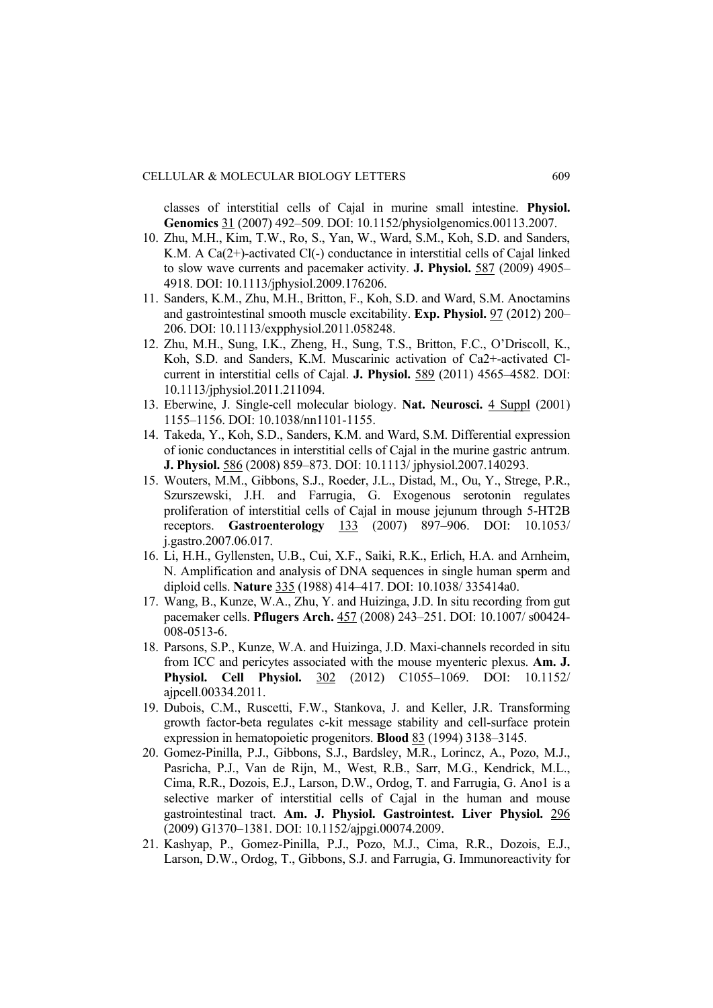classes of interstitial cells of Cajal in murine small intestine. **Physiol. Genomics** 31 (2007) 492–509. DOI: 10.1152/physiolgenomics.00113.2007.

- 10. Zhu, M.H., Kim, T.W., Ro, S., Yan, W., Ward, S.M., Koh, S.D. and Sanders, K.M. A Ca(2+)-activated Cl(-) conductance in interstitial cells of Cajal linked to slow wave currents and pacemaker activity. **J. Physiol.** 587 (2009) 4905– 4918. DOI: 10.1113/jphysiol.2009.176206.
- 11. Sanders, K.M., Zhu, M.H., Britton, F., Koh, S.D. and Ward, S.M. Anoctamins and gastrointestinal smooth muscle excitability. **Exp. Physiol.** 97 (2012) 200– 206. DOI: 10.1113/expphysiol.2011.058248.
- 12. Zhu, M.H., Sung, I.K., Zheng, H., Sung, T.S., Britton, F.C., O'Driscoll, K., Koh, S.D. and Sanders, K.M. Muscarinic activation of Ca2+-activated Clcurrent in interstitial cells of Cajal. **J. Physiol.** 589 (2011) 4565–4582. DOI: 10.1113/jphysiol.2011.211094.
- 13. Eberwine, J. Single-cell molecular biology. **Nat. Neurosci.** 4 Suppl (2001) 1155–1156. DOI: 10.1038/nn1101-1155.
- 14. Takeda, Y., Koh, S.D., Sanders, K.M. and Ward, S.M. Differential expression of ionic conductances in interstitial cells of Cajal in the murine gastric antrum. **J. Physiol.** 586 (2008) 859–873. DOI: 10.1113/ jphysiol.2007.140293.
- 15. Wouters, M.M., Gibbons, S.J., Roeder, J.L., Distad, M., Ou, Y., Strege, P.R., Szurszewski, J.H. and Farrugia, G. Exogenous serotonin regulates proliferation of interstitial cells of Cajal in mouse jejunum through 5-HT2B receptors. **Gastroenterology** 133 (2007) 897–906. DOI: 10.1053/ j.gastro.2007.06.017.
- 16. Li, H.H., Gyllensten, U.B., Cui, X.F., Saiki, R.K., Erlich, H.A. and Arnheim, N. Amplification and analysis of DNA sequences in single human sperm and diploid cells. **Nature** 335 (1988) 414–417. DOI: 10.1038/ 335414a0.
- 17. Wang, B., Kunze, W.A., Zhu, Y. and Huizinga, J.D. In situ recording from gut pacemaker cells. **Pflugers Arch.** 457 (2008) 243–251. DOI: 10.1007/ s00424- 008-0513-6.
- 18. Parsons, S.P., Kunze, W.A. and Huizinga, J.D. Maxi-channels recorded in situ from ICC and pericytes associated with the mouse myenteric plexus. **Am. J. Physiol. Cell Physiol.** 302 (2012) C1055–1069. DOI: 10.1152/ ajpcell.00334.2011.
- 19. Dubois, C.M., Ruscetti, F.W., Stankova, J. and Keller, J.R. Transforming growth factor-beta regulates c-kit message stability and cell-surface protein expression in hematopoietic progenitors. **Blood** 83 (1994) 3138–3145.
- 20. Gomez-Pinilla, P.J., Gibbons, S.J., Bardsley, M.R., Lorincz, A., Pozo, M.J., Pasricha, P.J., Van de Rijn, M., West, R.B., Sarr, M.G., Kendrick, M.L., Cima, R.R., Dozois, E.J., Larson, D.W., Ordog, T. and Farrugia, G. Ano1 is a selective marker of interstitial cells of Cajal in the human and mouse gastrointestinal tract. **Am. J. Physiol. Gastrointest. Liver Physiol.** 296 (2009) G1370–1381. DOI: 10.1152/ajpgi.00074.2009.
- 21. Kashyap, P., Gomez-Pinilla, P.J., Pozo, M.J., Cima, R.R., Dozois, E.J., Larson, D.W., Ordog, T., Gibbons, S.J. and Farrugia, G. Immunoreactivity for